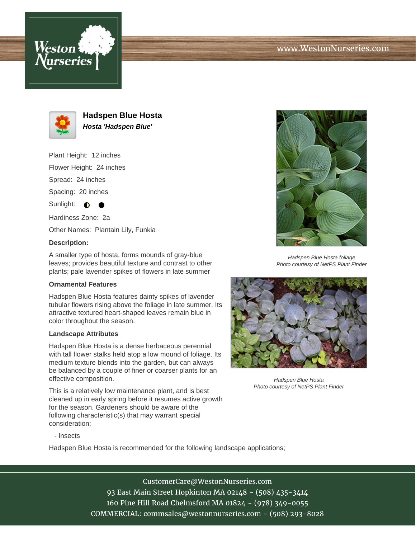





**Hadspen Blue Hosta Hosta 'Hadspen Blue'**

Plant Height: 12 inches

Flower Height: 24 inches

Spread: 24 inches

Spacing: 20 inches

Sunlight:  $\bigcirc$ 

Hardiness Zone: 2a

Other Names: Plantain Lily, Funkia

## **Description:**

A smaller type of hosta, forms mounds of gray-blue leaves; provides beautiful texture and contrast to other plants; pale lavender spikes of flowers in late summer

## **Ornamental Features**

Hadspen Blue Hosta features dainty spikes of lavender tubular flowers rising above the foliage in late summer. Its attractive textured heart-shaped leaves remain blue in color throughout the season.

## **Landscape Attributes**

Hadspen Blue Hosta is a dense herbaceous perennial with tall flower stalks held atop a low mound of foliage. Its medium texture blends into the garden, but can always be balanced by a couple of finer or coarser plants for an effective composition.

This is a relatively low maintenance plant, and is best cleaned up in early spring before it resumes active growth for the season. Gardeners should be aware of the following characteristic(s) that may warrant special consideration;



Hadspen Blue Hosta foliage Photo courtesy of NetPS Plant Finder



Hadspen Blue Hosta Photo courtesy of NetPS Plant Finder

- Insects

Hadspen Blue Hosta is recommended for the following landscape applications;

CustomerCare@WestonNurseries.com 93 East Main Street Hopkinton MA 02148 - (508) 435-3414 160 Pine Hill Road Chelmsford MA 01824 - (978) 349-0055 COMMERCIAL: commsales@westonnurseries.com - (508) 293-8028